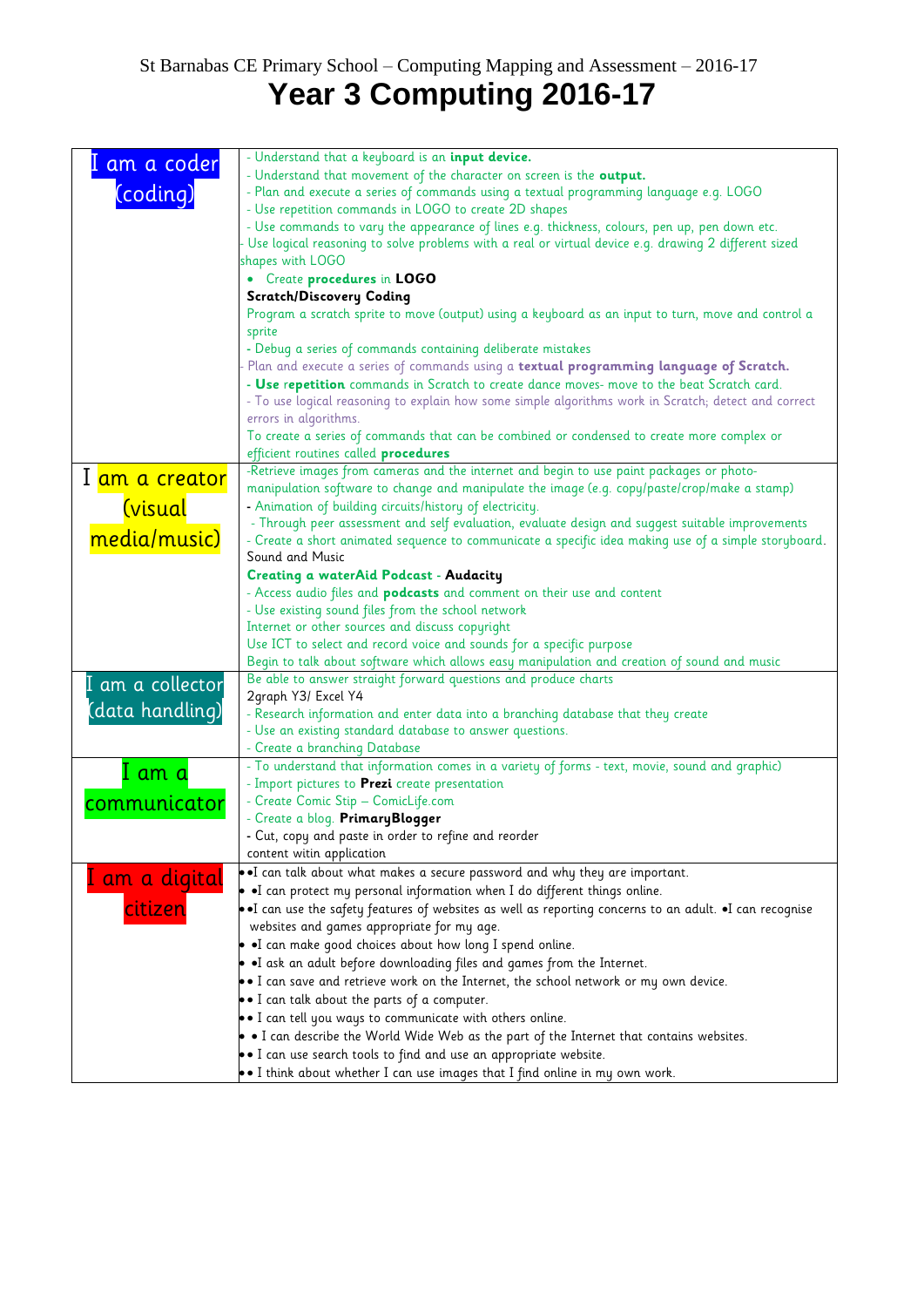## St Barnabas CE Primary School – Computing Mapping and Assessment – 2016-17 **Year 3 Computing 2016-17**

| am a coder       | - Understand that a keyboard is an <i>input device</i> .                                                  |
|------------------|-----------------------------------------------------------------------------------------------------------|
|                  | - Understand that movement of the character on screen is the output.                                      |
| (coding)         | - Plan and execute a series of commands using a textual programming language e.g. LOGO                    |
|                  | - Use repetition commands in LOGO to create 2D shapes                                                     |
|                  | - Use commands to vary the appearance of lines e.g. thickness, colours, pen up, pen down etc.             |
|                  | - Use logical reasoning to solve problems with a real or virtual device e.g. drawing 2 different sized    |
|                  | shapes with LOGO                                                                                          |
|                  | • Create procedures in LOGO                                                                               |
|                  | <b>Scratch/Discovery Coding</b>                                                                           |
|                  | Program a scratch sprite to move (output) using a keyboard as an input to turn, move and control a        |
|                  | sprite                                                                                                    |
|                  | - Debug a series of commands containing deliberate mistakes                                               |
|                  | Plan and execute a series of commands using a textual programming language of Scratch.                    |
|                  | - Use repetition commands in Scratch to create dance moves- move to the beat Scratch card.                |
|                  | - To use logical reasoning to explain how some simple algorithms work in Scratch; detect and correct      |
|                  | errors in algorithms.                                                                                     |
|                  | To create a series of commands that can be combined or condensed to create more complex or                |
|                  | efficient routines called procedures                                                                      |
|                  | -Retrieve images from cameras and the internet and begin to use paint packages or photo-                  |
| I am a creator   | manipulation software to change and manipulate the image (e.g. copy/paste/crop/make a stamp)              |
| <u>(visual</u>   | - Animation of building circuits/history of electricity.                                                  |
|                  | - Through peer assessment and self evaluation, evaluate design and suggest suitable improvements          |
| media/music)     | - Create a short animated sequence to communicate a specific idea making use of a simple storyboard.      |
|                  | Sound and Music                                                                                           |
|                  | <b>Creating a waterAid Podcast - Audacity</b>                                                             |
|                  | - Access audio files and <b>podcasts</b> and comment on their use and content                             |
|                  | - Use existing sound files from the school network                                                        |
|                  | Internet or other sources and discuss copyright                                                           |
|                  | Use ICT to select and record voice and sounds for a specific purpose                                      |
|                  | Begin to talk about software which allows easy manipulation and creation of sound and music               |
| I am a collector | Be able to answer straight forward questions and produce charts                                           |
|                  | 2graph Y3/ Excel Y4                                                                                       |
| (data handling)  | - Research information and enter data into a branching database that they create                          |
|                  | - Use an existing standard database to answer questions.                                                  |
|                  | - Create a branching Database                                                                             |
| I am a           | - To understand that information comes in a variety of forms - text, movie, sound and graphic)            |
|                  | - Import pictures to Prezi create presentation                                                            |
| communicator     | - Create Comic Stip - ComicLife.com                                                                       |
|                  | - Create a blog. PrimaryBlogger                                                                           |
|                  | - Cut, copy and paste in order to refine and reorder                                                      |
|                  | content witin application                                                                                 |
| I am a digital   | . I can talk about what makes a secure password and why they are important.                               |
|                  | • I can protect my personal information when I do different things online.                                |
| citizen          | • I can use the safety features of websites as well as reporting concerns to an adult. •I can recognise   |
|                  | websites and games appropriate for my age.                                                                |
|                  | . I can make good choices about how long I spend online.                                                  |
|                  | • I ask an adult before downloading files and games from the Internet.                                    |
|                  | $\bullet$ I can save and retrieve work on the Internet, the school network or my own device.              |
|                  | • I can talk about the parts of a computer.                                                               |
|                  | $\bullet$ I can tell you ways to communicate with others online.                                          |
|                  | $\bullet$ $\bullet$ I can describe the World Wide Web as the part of the Internet that contains websites. |
|                  | • I can use search tools to find and use an appropriate website.                                          |
|                  | $\bullet$ I think about whether I can use images that I find online in my own work.                       |
|                  |                                                                                                           |